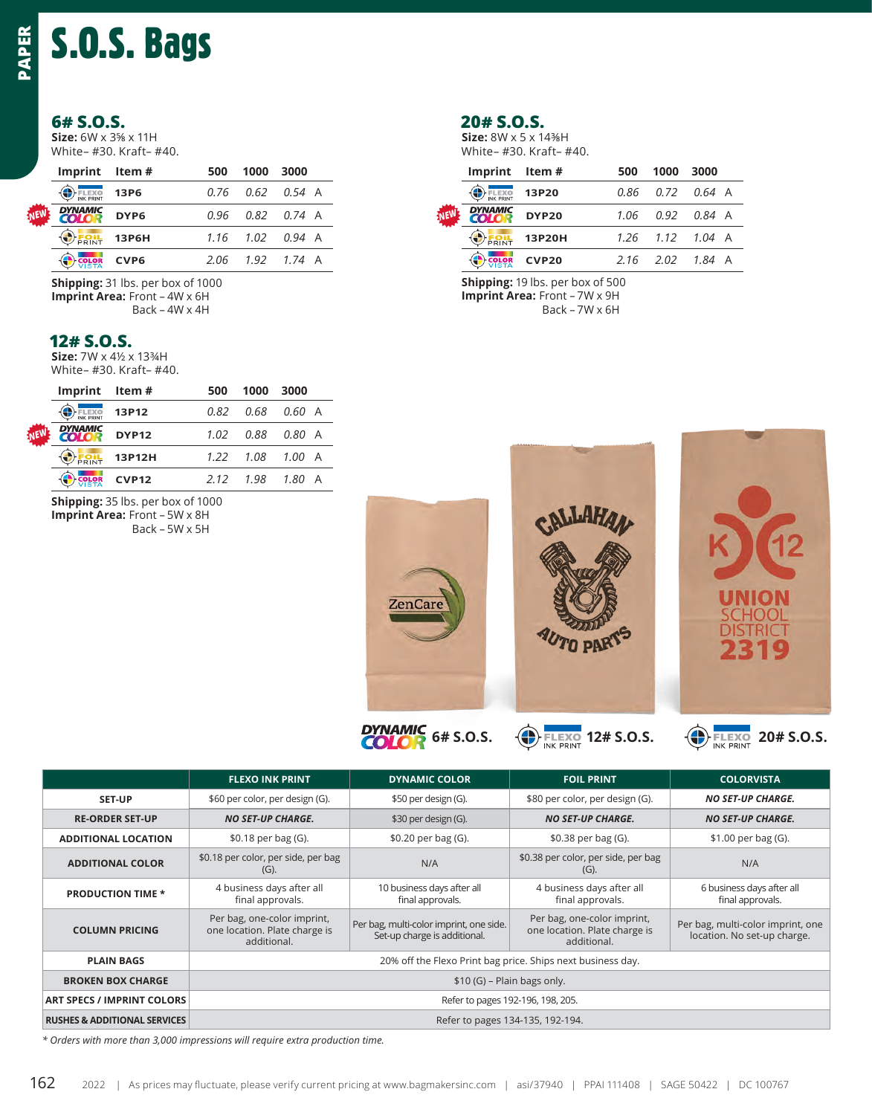# S.O.S. Bags

### **6# S.O.S.**

**Size:** 6W x 3⅝ x 11H  White– #30. Kraft– #40.

| Imprint Item#  |                  | 500 | 1000                   | 3000 |  |
|----------------|------------------|-----|------------------------|------|--|
| <b>O</b> FLEXO | 13P6             |     | $0.76$ $0.62$ $0.54$ A |      |  |
| <b>DYNAMIC</b> | DYP6             |     | $0.96$ $0.82$ $0.74$ A |      |  |
| <b>ERIL</b>    | 13P6H            |     | $1.16$ $1.02$ $0.94$ A |      |  |
| <b>COLOR</b>   | CVP <sub>6</sub> |     | $2.06$ $1.92$ $1.74$ A |      |  |

**Shipping:** 31 lbs. per box of 1000 **Imprint Area:** Front – 4W x 6H Back – 4W x 4H

#### **12# S.O.S.**

*NEW*

**Size:** 7W x 4½ x 13¾H  White– #30. Kraft– #40.

| EN | Imprint Item#  |              | 500  | 1000        | 3000             |  |
|----|----------------|--------------|------|-------------|------------------|--|
|    | FLEXO          | 13P12        | 0.82 | 0.68 0.60 A |                  |  |
|    | <b>DYNAMIC</b> | <b>DYP12</b> | 1.02 |             |                  |  |
|    | FOIL           | 13P12H       | 1.22 | 1.08 1.00 A |                  |  |
|    | <b>COLOR</b>   | <b>CVP12</b> | 2.12 | 1.98        | $1.80 \text{ A}$ |  |

**Shipping:** 35 lbs. per box of 1000

**Imprint Area:** Front – 5W x 8H Back – 5W x 5H

#### **20# S.O.S.**

**Size:** 8W x 5 x 14⅜H  White– #30. Kraft– #40.

| Imprint Item#                  |        | 500  | 1000 | 3000                   |
|--------------------------------|--------|------|------|------------------------|
| <b>ELEXO</b>                   | 13P20  |      |      | $0.86$ $0.72$ $0.64$ A |
| <b>DYNAMIC</b><br><b>COLOR</b> | DYP20  | 1.06 |      | 0.92 0.84 A            |
| <b>OFRINT</b>                  | 13P20H |      |      | $1.26$ $1.12$ $1.04$ A |
| <b>COLOR</b>                   | CVP20  |      |      | $2.16$ $2.02$ $1.84$ A |

**Shipping:** 19 lbs. per box of 500 **Imprint Area:** Front – 7W x 9H Back – 7W x 6H



**FLEXO INK PRINT DYNAMIC COLOR FOIL PRINT COLORVISTA SET-UP** \$60 per color, per design (G). \$50 per design (G). \$80 per color, per design (G). **NO SET-UP CHARGE. RE-ORDER SET-UP** *NO SET-UP CHARGE.* \$30 per design (G). *NO SET-UP CHARGE. NO SET-UP CHARGE.* **ADDITIONAL LOCATION** \$0.18 per bag (G). \$0.20 per bag (G). \$0.38 per bag (G). \$1.00 per bag (G). **ADDITIONAL COLOR** \$0.18 per color, per side, per bag (G). N/A \$0.38 per color, per side, per bag (G). N/A **PRODUCTION TIME \*** 4 business days after all final approvals. 10 business days after all final approvals. 4 business days after all final approvals. 6 business days after all final approvals. **COLUMN PRICING** Per bag, one-color imprint, one location. Plate charge is additional. Per bag, multi-color imprint, one side. Set-up charge is additional. Per bag, one-color imprint, one location. Plate charge is additional. Per bag, multi-color imprint, one location. No set-up charge. **PLAIN BAGS** 20% off the Flexo Print bag price. Ships next business day. **BROKEN BOX CHARGE** \$10 (G) – Plain bags only. **ART SPECS / IMPRINT COLORS Refer to pages 192-196, 198, 205.** Refer to pages 192-196, 198, 205. **RUSHES & ADDITIONAL SERVICES Refer to pages 134-135, 192-194.** 162 **PAPER**

*\* Orders with more than 3,000 impressions will require extra production time.*